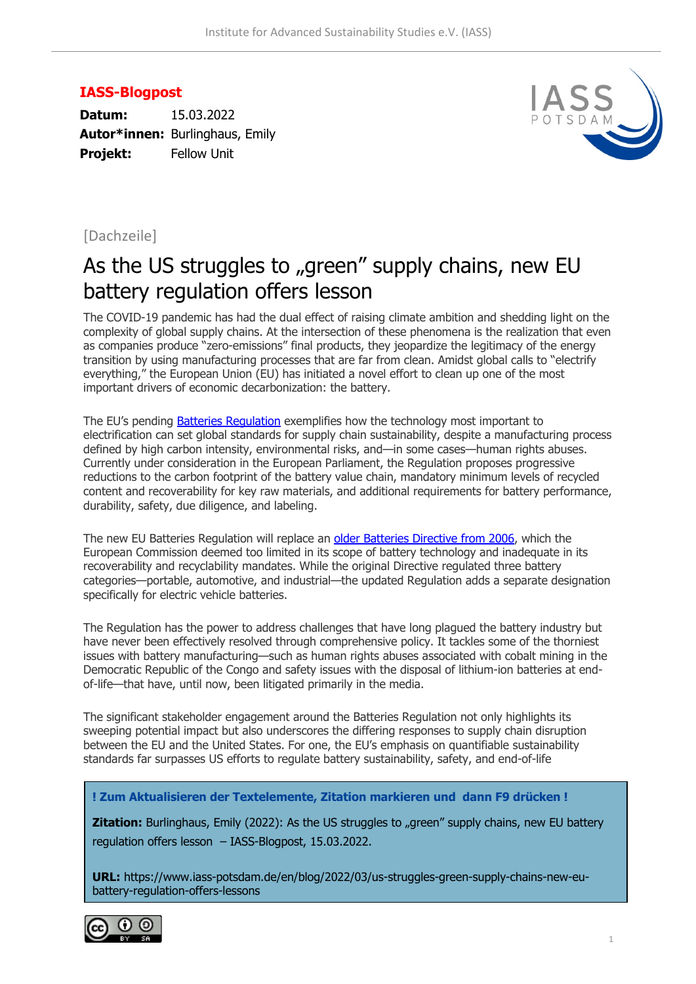## **IASS-Blogpost**

**Datum:** 15.03.2022 **Autor\*innen:** Burlinghaus, Emily **Projekt:** Fellow Unit



## [Dachzeile]

## As the US struggles to "green" supply chains, new EU battery regulation offers lesson

The COVID-19 pandemic has had the dual effect of raising climate ambition and shedding light on the complexity of global supply chains. At the intersection of these phenomena is the realization that even as companies produce "zero-emissions" final products, they jeopardize the legitimacy of the energy transition by using manufacturing processes that are far from clean. Amidst global calls to "electrify everything," the European Union (EU) has initiated a novel effort to clean up one of the most important drivers of economic decarbonization: the battery.

The EU's pending Batteries Regulation exemplifies how the technology most important to electrification can set global standards for supply chain sustainability, despite a manufacturing process defined by high carbon intensity, environmental risks, and—in some cases—human rights abuses. Currently under consideration in the European Parliament, the Regulation proposes progressive reductions to the carbon footprint of the battery value chain, mandatory minimum levels of recycled content and recoverability for key raw materials, and additional requirements for battery performance, durability, safety, due diligence, and labeling.

The new EU Batteries Regulation will replace an older Batteries Directive from 2006, which the European Commission deemed too limited in its scope of battery technology and inadequate in its recoverability and recyclability mandates. While the original Directive regulated three battery categories—portable, automotive, and industrial—the updated Regulation adds a separate designation specifically for electric vehicle batteries.

The Regulation has the power to address challenges that have long plagued the battery industry but have never been effectively resolved through comprehensive policy. It tackles some of the thorniest issues with battery manufacturing—such as human rights abuses associated with cobalt mining in the Democratic Republic of the Congo and safety issues with the disposal of lithium-ion batteries at endof-life—that have, until now, been litigated primarily in the media.

The significant stakeholder engagement around the Batteries Regulation not only highlights its sweeping potential impact but also underscores the differing responses to supply chain disruption between the EU and the United States. For one, the EU's emphasis on quantifiable sustainability standards far surpasses US efforts to regulate battery sustainability, safety, and end-of-life

**! Zum Aktualisieren der Textelemente, Zitation markieren und dann F9 drücken !**

**Zitation:** Burlinghaus, Emily (2022): As the US struggles to "green" supply chains, new EU battery regulation offers lesson – IASS-Blogpost, 15.03.2022.

**URL:** https://www.iass-potsdam.de/en/blog/2022/03/us-struggles-green-supply-chains-new-eubattery-regulation-offers-lessons

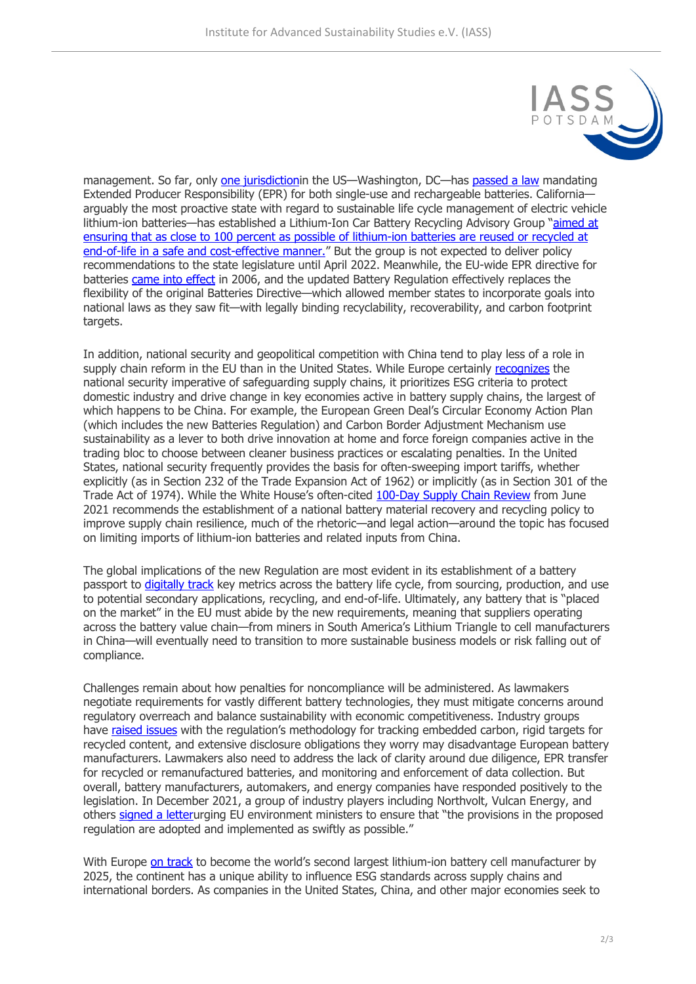

management. So far, only one jurisdictionin the US—Washington, DC—has passed a law mandating Extended Producer Responsibility (EPR) for both single-use and rechargeable batteries. Californiaarguably the most proactive state with regard to sustainable life cycle management of electric vehicle lithium-ion batteries—has established a Lithium-Ion Car Battery Recycling Advisory Group "aimed at ensuring that as close to 100 percent as possible of lithium-ion batteries are reused or recycled at end-of-life in a safe and cost-effective manner." But the group is not expected to deliver policy recommendations to the state legislature until April 2022. Meanwhile, the EU-wide EPR directive for batteries came into effect in 2006, and the updated Battery Regulation effectively replaces the flexibility of the original Batteries Directive—which allowed member states to incorporate goals into national laws as they saw fit—with legally binding recyclability, recoverability, and carbon footprint targets.

In addition, national security and geopolitical competition with China tend to play less of a role in supply chain reform in the EU than in the United States. While Europe certainly recognizes the national security imperative of safeguarding supply chains, it prioritizes ESG criteria to protect domestic industry and drive change in key economies active in battery supply chains, the largest of which happens to be China. For example, the European Green Deal's Circular Economy Action Plan (which includes the new Batteries Regulation) and Carbon Border Adjustment Mechanism use sustainability as a lever to both drive innovation at home and force foreign companies active in the trading bloc to choose between cleaner business practices or escalating penalties. In the United States, national security frequently provides the basis for often-sweeping import tariffs, whether explicitly (as in Section 232 of the Trade Expansion Act of 1962) or implicitly (as in Section 301 of the Trade Act of 1974). While the White House's often-cited 100-Day Supply Chain Review from June 2021 recommends the establishment of a national battery material recovery and recycling policy to improve supply chain resilience, much of the rhetoric—and legal action—around the topic has focused on limiting imports of lithium-ion batteries and related inputs from China.

The global implications of the new Regulation are most evident in its establishment of a battery passport to digitally track key metrics across the battery life cycle, from sourcing, production, and use to potential secondary applications, recycling, and end-of-life. Ultimately, any battery that is "placed on the market" in the EU must abide by the new requirements, meaning that suppliers operating across the battery value chain—from miners in South America's Lithium Triangle to cell manufacturers in China—will eventually need to transition to more sustainable business models or risk falling out of compliance.

Challenges remain about how penalties for noncompliance will be administered. As lawmakers negotiate requirements for vastly different battery technologies, they must mitigate concerns around regulatory overreach and balance sustainability with economic competitiveness. Industry groups have raised issues with the regulation's methodology for tracking embedded carbon, rigid targets for recycled content, and extensive disclosure obligations they worry may disadvantage European battery manufacturers. Lawmakers also need to address the lack of clarity around due diligence, EPR transfer for recycled or remanufactured batteries, and monitoring and enforcement of data collection. But overall, battery manufacturers, automakers, and energy companies have responded positively to the legislation. In December 2021, a group of industry players including Northvolt, Vulcan Energy, and others signed a letterurging EU environment ministers to ensure that "the provisions in the proposed regulation are adopted and implemented as swiftly as possible."

With Europe on track to become the world's second largest lithium-ion battery cell manufacturer by 2025, the continent has a unique ability to influence ESG standards across supply chains and international borders. As companies in the United States, China, and other major economies seek to